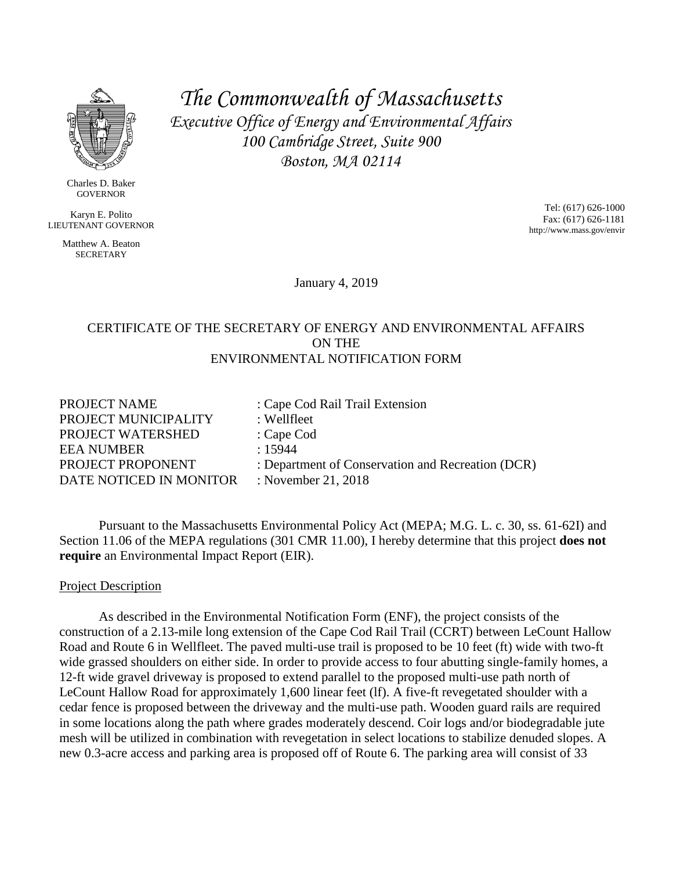

Charles D. Baker GOVERNOR

Karyn E. Polito LIEUTENANT GOVERNOR

> Matthew A. Beaton **SECRETARY**

*The Commonwealth of Massachusetts Executive Office of Energy and Environmental Affairs 100 Cambridge Street, Suite 900 Boston, MA 02114*

> Tel: (617) 626-1000 Fax: (617) 626-1181 http://www.mass.gov/envir

January 4, 2019

## CERTIFICATE OF THE SECRETARY OF ENERGY AND ENVIRONMENTAL AFFAIRS ON THE ENVIRONMENTAL NOTIFICATION FORM

PROJECT NAME : Cape Cod Rail Trail Extension PROJECT MUNICIPALITY : Wellfleet PROJECT WATERSHED : Cape Cod EEA NUMBER : 15944 PROJECT PROPONENT : Department of Conservation and Recreation (DCR) DATE NOTICED IN MONITOR : November 21, 2018

Pursuant to the Massachusetts Environmental Policy Act (MEPA; M.G. L. c. 30, ss. 61-62I) and Section 11.06 of the MEPA regulations (301 CMR 11.00), I hereby determine that this project **does not require** an Environmental Impact Report (EIR).

## Project Description

As described in the Environmental Notification Form (ENF), the project consists of the construction of a 2.13-mile long extension of the Cape Cod Rail Trail (CCRT) between LeCount Hallow Road and Route 6 in Wellfleet. The paved multi-use trail is proposed to be 10 feet (ft) wide with two-ft wide grassed shoulders on either side. In order to provide access to four abutting single-family homes, a 12-ft wide gravel driveway is proposed to extend parallel to the proposed multi-use path north of LeCount Hallow Road for approximately 1,600 linear feet (lf). A five-ft revegetated shoulder with a cedar fence is proposed between the driveway and the multi-use path. Wooden guard rails are required in some locations along the path where grades moderately descend. Coir logs and/or biodegradable jute mesh will be utilized in combination with revegetation in select locations to stabilize denuded slopes. A new 0.3-acre access and parking area is proposed off of Route 6. The parking area will consist of 33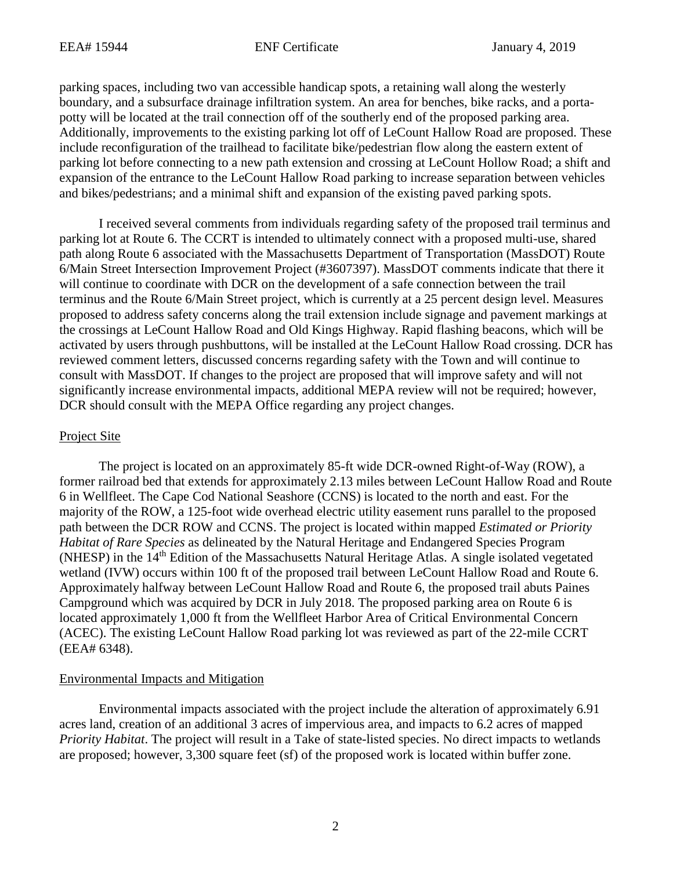parking spaces, including two van accessible handicap spots, a retaining wall along the westerly boundary, and a subsurface drainage infiltration system. An area for benches, bike racks, and a portapotty will be located at the trail connection off of the southerly end of the proposed parking area. Additionally, improvements to the existing parking lot off of LeCount Hallow Road are proposed. These include reconfiguration of the trailhead to facilitate bike/pedestrian flow along the eastern extent of parking lot before connecting to a new path extension and crossing at LeCount Hollow Road; a shift and expansion of the entrance to the LeCount Hallow Road parking to increase separation between vehicles and bikes/pedestrians; and a minimal shift and expansion of the existing paved parking spots.

I received several comments from individuals regarding safety of the proposed trail terminus and parking lot at Route 6. The CCRT is intended to ultimately connect with a proposed multi-use, shared path along Route 6 associated with the Massachusetts Department of Transportation (MassDOT) Route 6/Main Street Intersection Improvement Project (#3607397). MassDOT comments indicate that there it will continue to coordinate with DCR on the development of a safe connection between the trail terminus and the Route 6/Main Street project, which is currently at a 25 percent design level. Measures proposed to address safety concerns along the trail extension include signage and pavement markings at the crossings at LeCount Hallow Road and Old Kings Highway. Rapid flashing beacons, which will be activated by users through pushbuttons, will be installed at the LeCount Hallow Road crossing. DCR has reviewed comment letters, discussed concerns regarding safety with the Town and will continue to consult with MassDOT. If changes to the project are proposed that will improve safety and will not significantly increase environmental impacts, additional MEPA review will not be required; however, DCR should consult with the MEPA Office regarding any project changes.

#### Project Site

The project is located on an approximately 85-ft wide DCR-owned Right-of-Way (ROW), a former railroad bed that extends for approximately 2.13 miles between LeCount Hallow Road and Route 6 in Wellfleet. The Cape Cod National Seashore (CCNS) is located to the north and east. For the majority of the ROW, a 125-foot wide overhead electric utility easement runs parallel to the proposed path between the DCR ROW and CCNS. The project is located within mapped *Estimated or Priority Habitat of Rare Species* as delineated by the Natural Heritage and Endangered Species Program (NHESP) in the 14<sup>th</sup> Edition of the Massachusetts Natural Heritage Atlas. A single isolated vegetated wetland (IVW) occurs within 100 ft of the proposed trail between LeCount Hallow Road and Route 6. Approximately halfway between LeCount Hallow Road and Route 6, the proposed trail abuts Paines Campground which was acquired by DCR in July 2018. The proposed parking area on Route 6 is located approximately 1,000 ft from the Wellfleet Harbor Area of Critical Environmental Concern (ACEC). The existing LeCount Hallow Road parking lot was reviewed as part of the 22-mile CCRT (EEA# 6348).

#### Environmental Impacts and Mitigation

Environmental impacts associated with the project include the alteration of approximately 6.91 acres land, creation of an additional 3 acres of impervious area, and impacts to 6.2 acres of mapped *Priority Habitat*. The project will result in a Take of state-listed species. No direct impacts to wetlands are proposed; however, 3,300 square feet (sf) of the proposed work is located within buffer zone.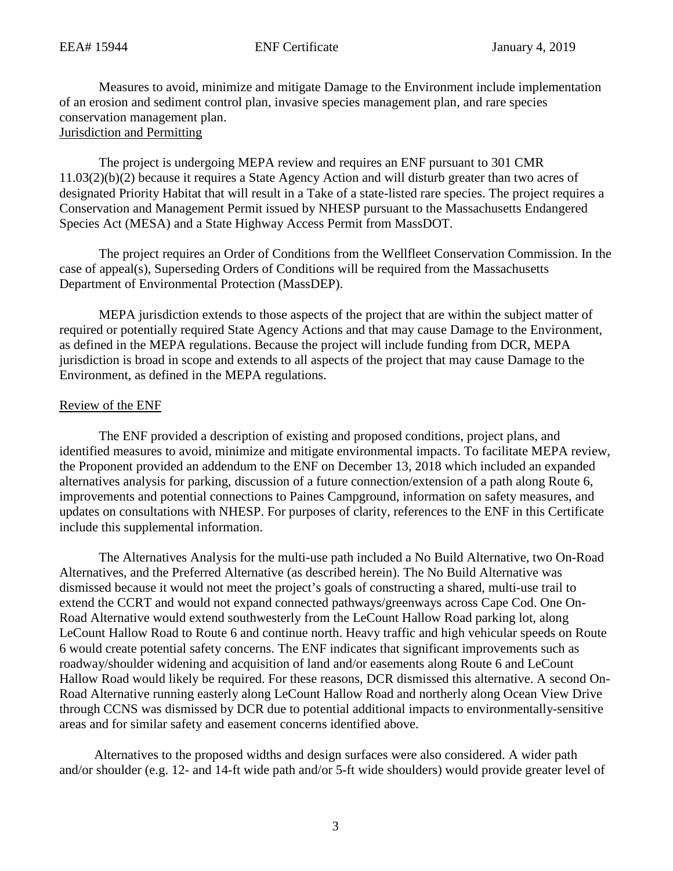Measures to avoid, minimize and mitigate Damage to the Environment include implementation of an erosion and sediment control plan, invasive species management plan, and rare species conservation management plan.

# Jurisdiction and Permitting

The project is undergoing MEPA review and requires an ENF pursuant to 301 CMR 11.03(2)(b)(2) because it requires a State Agency Action and will disturb greater than two acres of designated Priority Habitat that will result in a Take of a state-listed rare species. The project requires a Conservation and Management Permit issued by NHESP pursuant to the Massachusetts Endangered Species Act (MESA) and a State Highway Access Permit from MassDOT.

The project requires an Order of Conditions from the Wellfleet Conservation Commission. In the case of appeal(s), Superseding Orders of Conditions will be required from the Massachusetts Department of Environmental Protection (MassDEP).

MEPA jurisdiction extends to those aspects of the project that are within the subject matter of required or potentially required State Agency Actions and that may cause Damage to the Environment, as defined in the MEPA regulations. Because the project will include funding from DCR, MEPA jurisdiction is broad in scope and extends to all aspects of the project that may cause Damage to the Environment, as defined in the MEPA regulations.

#### Review of the ENF

The ENF provided a description of existing and proposed conditions, project plans, and identified measures to avoid, minimize and mitigate environmental impacts. To facilitate MEPA review, the Proponent provided an addendum to the ENF on December 13, 2018 which included an expanded alternatives analysis for parking, discussion of a future connection/extension of a path along Route 6, improvements and potential connections to Paines Campground, information on safety measures, and updates on consultations with NHESP. For purposes of clarity, references to the ENF in this Certificate include this supplemental information.

The Alternatives Analysis for the multi-use path included a No Build Alternative, two On-Road Alternatives, and the Preferred Alternative (as described herein). The No Build Alternative was dismissed because it would not meet the project's goals of constructing a shared, multi-use trail to extend the CCRT and would not expand connected pathways/greenways across Cape Cod. One On-Road Alternative would extend southwesterly from the LeCount Hallow Road parking lot, along LeCount Hallow Road to Route 6 and continue north. Heavy traffic and high vehicular speeds on Route 6 would create potential safety concerns. The ENF indicates that significant improvements such as roadway/shoulder widening and acquisition of land and/or easements along Route 6 and LeCount Hallow Road would likely be required. For these reasons, DCR dismissed this alternative. A second On-Road Alternative running easterly along LeCount Hallow Road and northerly along Ocean View Drive through CCNS was dismissed by DCR due to potential additional impacts to environmentally-sensitive areas and for similar safety and easement concerns identified above.

Alternatives to the proposed widths and design surfaces were also considered. A wider path and/or shoulder (e.g. 12- and 14-ft wide path and/or 5-ft wide shoulders) would provide greater level of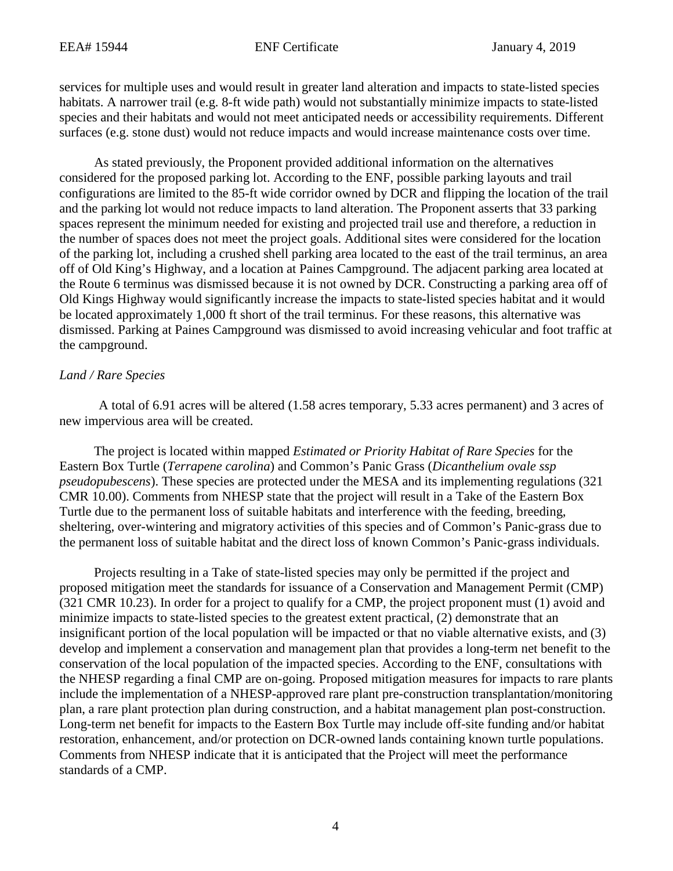services for multiple uses and would result in greater land alteration and impacts to state-listed species habitats. A narrower trail (e.g. 8-ft wide path) would not substantially minimize impacts to state-listed species and their habitats and would not meet anticipated needs or accessibility requirements. Different surfaces (e.g. stone dust) would not reduce impacts and would increase maintenance costs over time.

As stated previously, the Proponent provided additional information on the alternatives considered for the proposed parking lot. According to the ENF, possible parking layouts and trail configurations are limited to the 85-ft wide corridor owned by DCR and flipping the location of the trail and the parking lot would not reduce impacts to land alteration. The Proponent asserts that 33 parking spaces represent the minimum needed for existing and projected trail use and therefore, a reduction in the number of spaces does not meet the project goals. Additional sites were considered for the location of the parking lot, including a crushed shell parking area located to the east of the trail terminus, an area off of Old King's Highway, and a location at Paines Campground. The adjacent parking area located at the Route 6 terminus was dismissed because it is not owned by DCR. Constructing a parking area off of Old Kings Highway would significantly increase the impacts to state-listed species habitat and it would be located approximately 1,000 ft short of the trail terminus. For these reasons, this alternative was dismissed. Parking at Paines Campground was dismissed to avoid increasing vehicular and foot traffic at the campground.

#### *Land / Rare Species*

A total of 6.91 acres will be altered (1.58 acres temporary, 5.33 acres permanent) and 3 acres of new impervious area will be created.

The project is located within mapped *Estimated or Priority Habitat of Rare Species* for the Eastern Box Turtle (*Terrapene carolina*) and Common's Panic Grass (*Dicanthelium ovale ssp pseudopubescens*). These species are protected under the MESA and its implementing regulations (321 CMR 10.00). Comments from NHESP state that the project will result in a Take of the Eastern Box Turtle due to the permanent loss of suitable habitats and interference with the feeding, breeding, sheltering, over-wintering and migratory activities of this species and of Common's Panic-grass due to the permanent loss of suitable habitat and the direct loss of known Common's Panic-grass individuals.

Projects resulting in a Take of state-listed species may only be permitted if the project and proposed mitigation meet the standards for issuance of a Conservation and Management Permit (CMP) (321 CMR 10.23). In order for a project to qualify for a CMP, the project proponent must (1) avoid and minimize impacts to state-listed species to the greatest extent practical, (2) demonstrate that an insignificant portion of the local population will be impacted or that no viable alternative exists, and (3) develop and implement a conservation and management plan that provides a long-term net benefit to the conservation of the local population of the impacted species. According to the ENF, consultations with the NHESP regarding a final CMP are on-going. Proposed mitigation measures for impacts to rare plants include the implementation of a NHESP-approved rare plant pre-construction transplantation/monitoring plan, a rare plant protection plan during construction, and a habitat management plan post-construction. Long-term net benefit for impacts to the Eastern Box Turtle may include off-site funding and/or habitat restoration, enhancement, and/or protection on DCR-owned lands containing known turtle populations. Comments from NHESP indicate that it is anticipated that the Project will meet the performance standards of a CMP.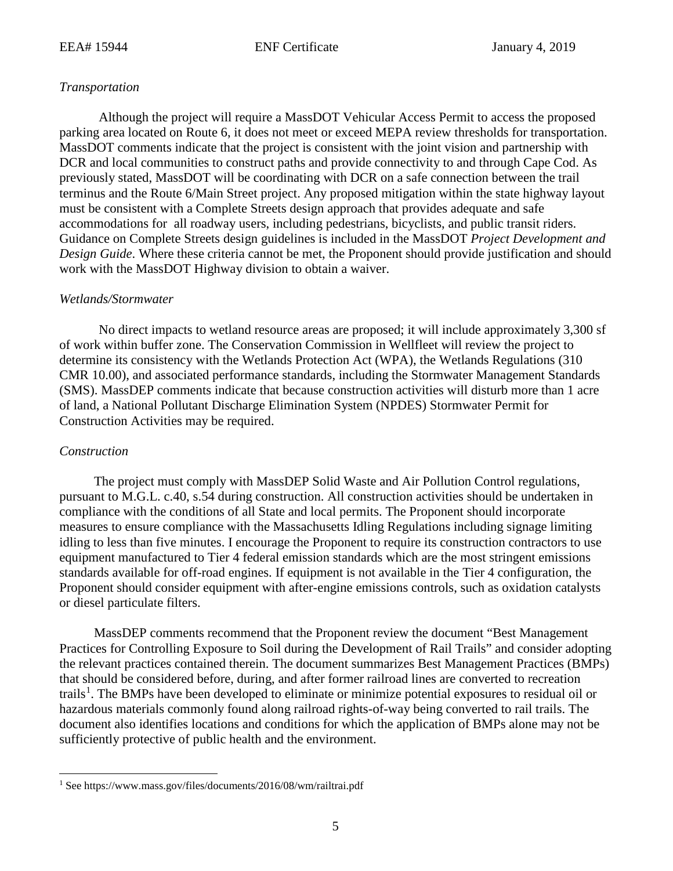# *Transportation*

Although the project will require a MassDOT Vehicular Access Permit to access the proposed parking area located on Route 6, it does not meet or exceed MEPA review thresholds for transportation. MassDOT comments indicate that the project is consistent with the joint vision and partnership with DCR and local communities to construct paths and provide connectivity to and through Cape Cod. As previously stated, MassDOT will be coordinating with DCR on a safe connection between the trail terminus and the Route 6/Main Street project. Any proposed mitigation within the state highway layout must be consistent with a Complete Streets design approach that provides adequate and safe accommodations for all roadway users, including pedestrians, bicyclists, and public transit riders. Guidance on Complete Streets design guidelines is included in the MassDOT *Project Development and Design Guide*. Where these criteria cannot be met, the Proponent should provide justification and should work with the MassDOT Highway division to obtain a waiver.

## *Wetlands/Stormwater*

No direct impacts to wetland resource areas are proposed; it will include approximately 3,300 sf of work within buffer zone. The Conservation Commission in Wellfleet will review the project to determine its consistency with the Wetlands Protection Act (WPA), the Wetlands Regulations (310 CMR 10.00), and associated performance standards, including the Stormwater Management Standards (SMS). MassDEP comments indicate that because construction activities will disturb more than 1 acre of land, a National Pollutant Discharge Elimination System (NPDES) Stormwater Permit for Construction Activities may be required.

# *Construction*

The project must comply with MassDEP Solid Waste and Air Pollution Control regulations, pursuant to M.G.L. c.40, s.54 during construction. All construction activities should be undertaken in compliance with the conditions of all State and local permits. The Proponent should incorporate measures to ensure compliance with the Massachusetts Idling Regulations including signage limiting idling to less than five minutes. I encourage the Proponent to require its construction contractors to use equipment manufactured to Tier 4 federal emission standards which are the most stringent emissions standards available for off-road engines. If equipment is not available in the Tier 4 configuration, the Proponent should consider equipment with after-engine emissions controls, such as oxidation catalysts or diesel particulate filters.

MassDEP comments recommend that the Proponent review the document "Best Management Practices for Controlling Exposure to Soil during the Development of Rail Trails" and consider adopting the relevant practices contained therein. The document summarizes Best Management Practices (BMPs) that should be considered before, during, and after former railroad lines are converted to recreation trails<sup>[1](#page-4-0)</sup>. The BMPs have been developed to eliminate or minimize potential exposures to residual oil or hazardous materials commonly found along railroad rights-of-way being converted to rail trails. The document also identifies locations and conditions for which the application of BMPs alone may not be sufficiently protective of public health and the environment.

<span id="page-4-0"></span> <sup>1</sup> See https://www.mass.gov/files/documents/2016/08/wm/railtrai.pdf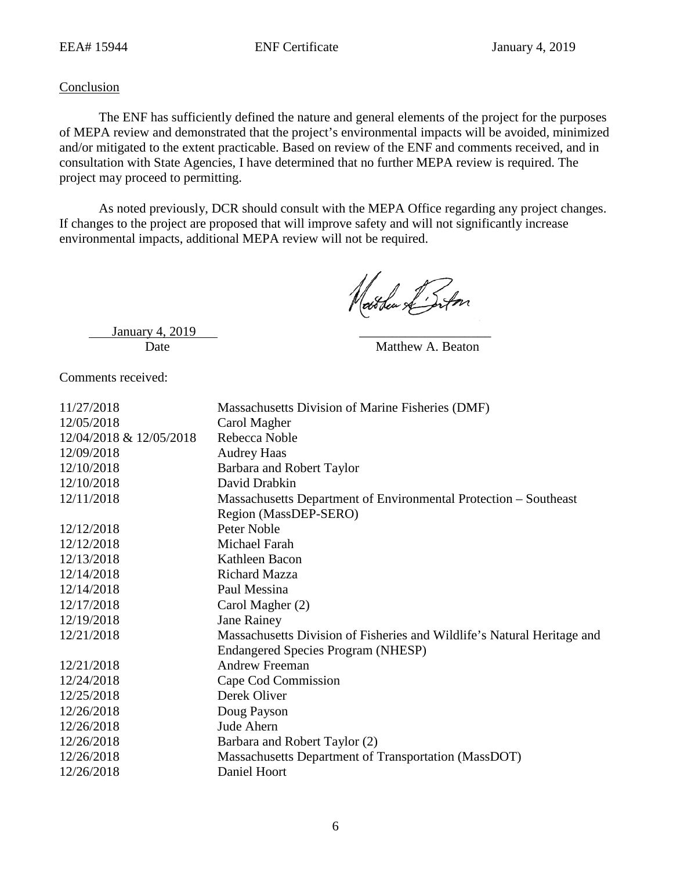## **Conclusion**

The ENF has sufficiently defined the nature and general elements of the project for the purposes of MEPA review and demonstrated that the project's environmental impacts will be avoided, minimized and/or mitigated to the extent practicable. Based on review of the ENF and comments received, and in consultation with State Agencies, I have determined that no further MEPA review is required. The project may proceed to permitting.

As noted previously, DCR should consult with the MEPA Office regarding any project changes. If changes to the project are proposed that will improve safety and will not significantly increase environmental impacts, additional MEPA review will not be required.

Nathew L'Inton

January 4, 2019

Date Matthew A. Beaton

Comments received:

| 11/27/2018              | Massachusetts Division of Marine Fisheries (DMF)                        |
|-------------------------|-------------------------------------------------------------------------|
| 12/05/2018              | Carol Magher                                                            |
| 12/04/2018 & 12/05/2018 | Rebecca Noble                                                           |
| 12/09/2018              | <b>Audrey Haas</b>                                                      |
| 12/10/2018              | Barbara and Robert Taylor                                               |
| 12/10/2018              | David Drabkin                                                           |
| 12/11/2018              | Massachusetts Department of Environmental Protection - Southeast        |
|                         | Region (MassDEP-SERO)                                                   |
| 12/12/2018              | Peter Noble                                                             |
| 12/12/2018              | Michael Farah                                                           |
| 12/13/2018              | Kathleen Bacon                                                          |
| 12/14/2018              | <b>Richard Mazza</b>                                                    |
| 12/14/2018              | Paul Messina                                                            |
| 12/17/2018              | Carol Magher (2)                                                        |
| 12/19/2018              | <b>Jane Rainey</b>                                                      |
| 12/21/2018              | Massachusetts Division of Fisheries and Wildlife's Natural Heritage and |
|                         | Endangered Species Program (NHESP)                                      |
| 12/21/2018              | <b>Andrew Freeman</b>                                                   |
| 12/24/2018              | Cape Cod Commission                                                     |
| 12/25/2018              | Derek Oliver                                                            |
| 12/26/2018              | Doug Payson                                                             |
| 12/26/2018              | Jude Ahern                                                              |
| 12/26/2018              | Barbara and Robert Taylor (2)                                           |
| 12/26/2018              | Massachusetts Department of Transportation (MassDOT)                    |
| 12/26/2018              | Daniel Hoort                                                            |
|                         |                                                                         |